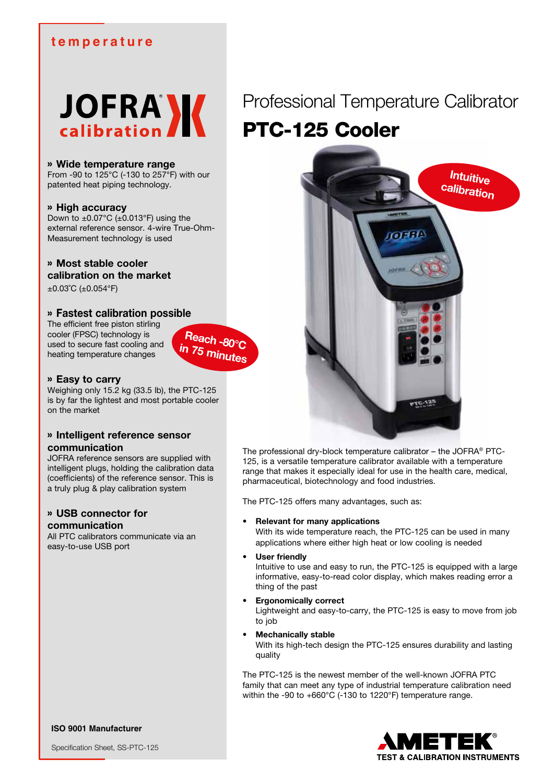## **temperature**



#### » **Wide temperature range**

From -90 to 125°C (-130 to 257°F) with our patented heat piping technology.

#### » **High accuracy**

Down to  $\pm 0.07^{\circ}$ C ( $\pm 0.013^{\circ}$ F) using the external reference sensor. 4-wire True-Ohm-Measurement technology is used

## » **Most stable cooler**

**calibration on the market**

±0.03˚C (±0.054°F)

### » **Fastest calibration possible**

The efficient free piston stirling cooler (FPSC) technology is used to secure fast cooling and heating temperature changes

#### » **Easy to carry**

Weighing only 15.2 kg (33.5 lb), the PTC-125 is by far the lightest and most portable cooler on the market

**Reach -80°C in 75 minutes**

### » **Intelligent reference sensor communication**

JOFRA reference sensors are supplied with intelligent plugs, holding the calibration data (coefficients) of the reference sensor. This is a truly plug & play calibration system

### » **USB connector for communication**

All PTC calibrators communicate via an easy-to-use USB port

# Professional Temperature Calibrator PTC-125 Cooler



The professional dry-block temperature calibrator – the JOFRA® PTC-125, is a versatile temperature calibrator available with a temperature range that makes it especially ideal for use in the health care, medical, pharmaceutical, biotechnology and food industries.

The PTC-125 offers many advantages, such as:

#### • **Relevant for many applications**

With its wide temperature reach, the PTC-125 can be used in many applications where either high heat or low cooling is needed

#### **User friendly**

Intuitive to use and easy to run, the PTC-125 is equipped with a large informative, easy-to-read color display, which makes reading error a thing of the past

#### • **Ergonomically correct**

Lightweight and easy-to-carry, the PTC-125 is easy to move from job to job

#### • **Mechanically stable**

With its high-tech design the PTC-125 ensures durability and lasting quality

The PTC-125 is the newest member of the well-known JOFRA PTC family that can meet any type of industrial temperature calibration need within the -90 to +660°C (-130 to 1220°F) temperature range.



**ISO 9001 Manufacturer**

Specification Sheet, SS-PTC-125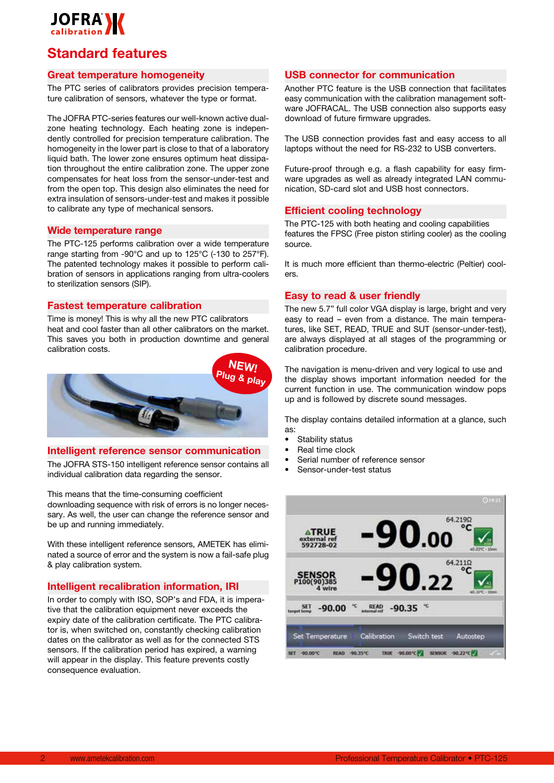

## **Standard features**

#### **Great temperature homogeneity**

The PTC series of calibrators provides precision temperature calibration of sensors, whatever the type or format.

The JOFRA PTC-series features our well-known active dualzone heating technology. Each heating zone is independently controlled for precision temperature calibration. The homogeneity in the lower part is close to that of a laboratory liquid bath. The lower zone ensures optimum heat dissipation throughout the entire calibration zone. The upper zone compensates for heat loss from the sensor-under-test and from the open top. This design also eliminates the need for extra insulation of sensors-under-test and makes it possible to calibrate any type of mechanical sensors.

#### **Wide temperature range**

The PTC-125 performs calibration over a wide temperature range starting from -90°C and up to 125°C (-130 to 257°F). The patented technology makes it possible to perform calibration of sensors in applications ranging from ultra-coolers to sterilization sensors (SIP).

#### **Fastest temperature calibration**

Time is money! This is why all the new PTC calibrators heat and cool faster than all other calibrators on the market. This saves you both in production downtime and general calibration costs.



#### **Intelligent reference sensor communication**

The JOFRA STS-150 intelligent reference sensor contains all individual calibration data regarding the sensor.

This means that the time-consuming coefficient downloading sequence with risk of errors is no longer necessary. As well, the user can change the reference sensor and be up and running immediately.

With these intelligent reference sensors, AMETEK has eliminated a source of error and the system is now a fail-safe plug & play calibration system.

#### **Intelligent recalibration information, IRI**

In order to comply with ISO, SOP's and FDA, it is imperative that the calibration equipment never exceeds the expiry date of the calibration certificate. The PTC calibrator is, when switched on, constantly checking calibration dates on the calibrator as well as for the connected STS sensors. If the calibration period has expired, a warning will appear in the display. This feature prevents costly consequence evaluation.

#### **USB connector for communication**

Another PTC feature is the USB connection that facilitates easy communication with the calibration management software JOFRACAL. The USB connection also supports easy download of future firmware upgrades.

The USB connection provides fast and easy access to all laptops without the need for RS-232 to USB converters.

Future-proof through e.g. a flash capability for easy firmware upgrades as well as already integrated LAN communication, SD-card slot and USB host connectors.

#### **Efficient cooling technology**

The PTC-125 with both heating and cooling capabilities features the FPSC (Free piston stirling cooler) as the cooling source.

It is much more efficient than thermo-electric (Peltier) coolers.

#### **Easy to read & user friendly**

The new 5.7" full color VGA display is large, bright and very easy to read – even from a distance. The main temperatures, like SET, READ, TRUE and SUT (sensor-under-test), are always displayed at all stages of the programming or calibration procedure.

The navigation is menu-driven and very logical to use and the display shows important information needed for the current function in use. The communication window pops up and is followed by discrete sound messages.

The display contains detailed information at a glance, such as:

- Stability status
- Real time clock
- Serial number of reference sensor
- Sensor-under-test status

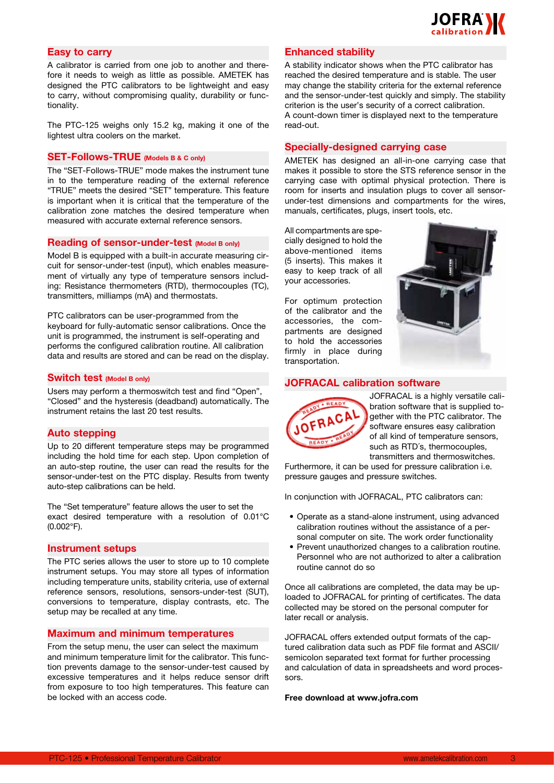

## **Easy to carry**

A calibrator is carried from one job to another and therefore it needs to weigh as little as possible. AMETEK has designed the PTC calibrators to be lightweight and easy to carry, without compromising quality, durability or functionality.

The PTC-125 weighs only 15.2 kg, making it one of the lightest ultra coolers on the market.

## **SET-Follows-TRUE (Models B & C only)**

The "SET-Follows-TRUE" mode makes the instrument tune in to the temperature reading of the external reference "TRUE" meets the desired "SET" temperature. This feature is important when it is critical that the temperature of the calibration zone matches the desired temperature when measured with accurate external reference sensors.

#### **Reading of sensor-under-test (Model B only)**

Model B is equipped with a built-in accurate measuring circuit for sensor-under-test (input), which enables measurement of virtually any type of temperature sensors including: Resistance thermometers (RTD), thermocouples (TC), transmitters, milliamps (mA) and thermostats.

PTC calibrators can be user-programmed from the keyboard for fully-automatic sensor calibrations. Once the unit is programmed, the instrument is self-operating and performs the configured calibration routine. All calibration data and results are stored and can be read on the display.

#### **Switch test (Model B only)**

Users may perform a thermoswitch test and find "Open", "Closed" and the hysteresis (deadband) automatically. The instrument retains the last 20 test results.

#### **Auto stepping**

Up to 20 different temperature steps may be programmed including the hold time for each step. Upon completion of an auto-step routine, the user can read the results for the sensor-under-test on the PTC display. Results from twenty auto-step calibrations can be held.

The "Set temperature" feature allows the user to set the exact desired temperature with a resolution of 0.01°C (0.002°F).

#### **Instrument setups**

The PTC series allows the user to store up to 10 complete instrument setups. You may store all types of information including temperature units, stability criteria, use of external reference sensors, resolutions, sensors-under-test (SUT), conversions to temperature, display contrasts, etc. The setup may be recalled at any time.

#### **Maximum and minimum temperatures**

From the setup menu, the user can select the maximum and minimum temperature limit for the calibrator. This function prevents damage to the sensor-under-test caused by excessive temperatures and it helps reduce sensor drift from exposure to too high temperatures. This feature can be locked with an access code.

#### **Enhanced stability**

A stability indicator shows when the PTC calibrator has reached the desired temperature and is stable. The user may change the stability criteria for the external reference and the sensor-under-test quickly and simply. The stability criterion is the user's security of a correct calibration. A count-down timer is displayed next to the temperature read-out.

## **Specially-designed carrying case**

AMETEK has designed an all-in-one carrying case that makes it possible to store the STS reference sensor in the carrying case with optimal physical protection. There is room for inserts and insulation plugs to cover all sensorunder-test dimensions and compartments for the wires, manuals, certificates, plugs, insert tools, etc.

All compartments are specially designed to hold the above-mentioned items (5 inserts). This makes it easy to keep track of all your accessories.

For optimum protection of the calibrator and the accessories, the compartments are designed to hold the accessories firmly in place during transportation.



### **JOFRACAL calibration software**



JOFRACAL is a highly versatile calibration software that is supplied together with the PTC calibrator. The software ensures easy calibration of all kind of temperature sensors, such as RTD´s, thermocouples, transmitters and thermoswitches.

Furthermore, it can be used for pressure calibration i.e. pressure gauges and pressure switches.

In conjunction with JOFRACAL, PTC calibrators can:

- Operate as a stand-alone instrument, using advanced calibration routines without the assistance of a personal computer on site. The work order functionality
- Prevent unauthorized changes to a calibration routine. Personnel who are not authorized to alter a calibration routine cannot do so

Once all calibrations are completed, the data may be uploaded to JOFRACAL for printing of certificates. The data collected may be stored on the personal computer for later recall or analysis.

JOFRACAL offers extended output formats of the captured calibration data such as PDF file format and ASCII/ semicolon separated text format for further processing and calculation of data in spreadsheets and word processors.

#### **Free download at www.jofra.com**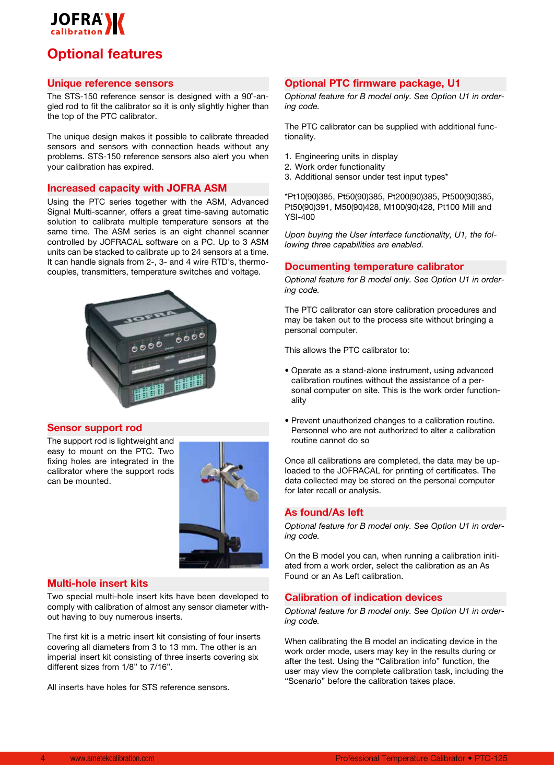

## **Optional features**

### **Unique reference sensors**

The STS-150 reference sensor is designed with a 90˚-angled rod to fit the calibrator so it is only slightly higher than the top of the PTC calibrator.

The unique design makes it possible to calibrate threaded sensors and sensors with connection heads without any problems. STS-150 reference sensors also alert you when your calibration has expired.

#### **Increased capacity with JOFRA ASM**

Using the PTC series together with the ASM, Advanced Signal Multi-scanner, offers a great time-saving automatic solution to calibrate multiple temperature sensors at the same time. The ASM series is an eight channel scanner controlled by JOFRACAL software on a PC. Up to 3 ASM units can be stacked to calibrate up to 24 sensors at a time. It can handle signals from 2-, 3- and 4 wire RTD's, thermocouples, transmitters, temperature switches and voltage.



#### **Sensor support rod**

The support rod is lightweight and easy to mount on the PTC. Two fixing holes are integrated in the calibrator where the support rods can be mounted.



#### **Multi-hole insert kits**

Two special multi-hole insert kits have been developed to comply with calibration of almost any sensor diameter without having to buy numerous inserts.

The first kit is a metric insert kit consisting of four inserts covering all diameters from 3 to 13 mm. The other is an imperial insert kit consisting of three inserts covering six different sizes from 1/8" to 7/16".

All inserts have holes for STS reference sensors.

#### **Optional PTC firmware package, U1**

*Optional feature for B model only. See Option U1 in ordering code.*

The PTC calibrator can be supplied with additional functionality.

- 1. Engineering units in display
- 2. Work order functionality
- 3. Additional sensor under test input types\*

\*Pt10(90)385, Pt50(90)385, Pt200(90)385, Pt500(90)385, Pt50(90)391, M50(90)428, M100(90)428, Pt100 Mill and YSI-400

*Upon buying the User Interface functionality, U1, the following three capabilities are enabled.*

#### **Documenting temperature calibrator**

*Optional feature for B model only. See Option U1 in ordering code.* 

The PTC calibrator can store calibration procedures and may be taken out to the process site without bringing a personal computer.

This allows the PTC calibrator to:

- Operate as a stand-alone instrument, using advanced calibration routines without the assistance of a personal computer on site. This is the work order functionality
- Prevent unauthorized changes to a calibration routine. Personnel who are not authorized to alter a calibration routine cannot do so

Once all calibrations are completed, the data may be uploaded to the JOFRACAL for printing of certificates. The data collected may be stored on the personal computer for later recall or analysis.

#### **As found/As left**

*Optional feature for B model only. See Option U1 in ordering code.* 

On the B model you can, when running a calibration initiated from a work order, select the calibration as an As Found or an As Left calibration.

## **Calibration of indication devices**

*Optional feature for B model only. See Option U1 in ordering code.* 

When calibrating the B model an indicating device in the work order mode, users may key in the results during or after the test. Using the "Calibration info" function, the user may view the complete calibration task, including the "Scenario" before the calibration takes place.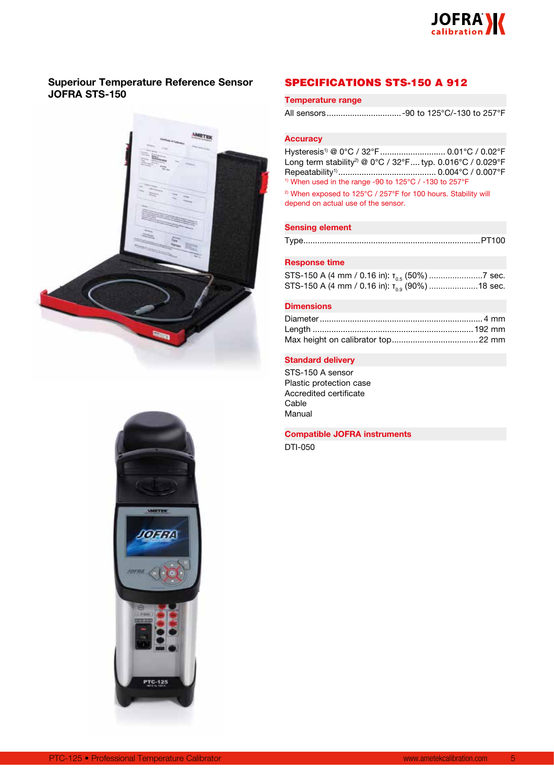

## **Superiour Temperature Reference Sensor JOFRA STS-150**





## SPECIFICATIONS STS-150 A 912

#### **Temperature range**

|--|--|--|--|--|

#### **Accuracy**

Hysteresis<sup>1)</sup> @ 0°C / 32°F ............................. 0.01°C / 0.02°F Long term stability<sup>2)</sup> @ 0°C / 32°F.... typ. 0.016°C / 0.029°F Repeatability1).......................................... 0.004°C / 0.007°F <sup>1)</sup> When used in the range -90 to 125°C / -130 to 257°F

<sup>2)</sup> When exposed to 125°C / 257°F for 100 hours. Stability will depend on actual use of the sensor.

#### **Sensing element**

Type............................................................................PT100

#### **Response time**

|  | STS-150 A (4 mm / 0.16 in): $T_{0.9}$ (90%) 18 sec. |
|--|-----------------------------------------------------|

#### **Dimensions**

#### **Standard delivery**

STS-150 A sensor Plastic protection case Accredited certificate Cable Manual

**Compatible JOFRA instruments**

DTI-050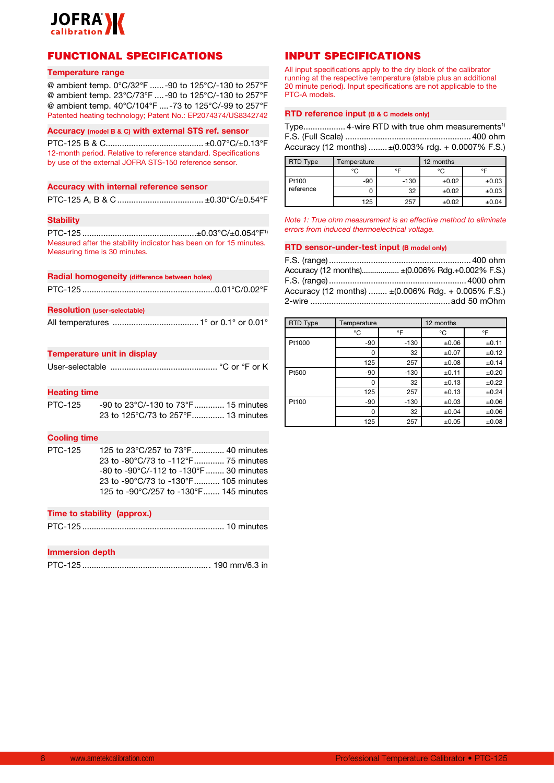

## FUNCTIONAL SPECIFICATIONS

#### **Temperature range**

@ ambient temp. 0°C/32°F ......-90 to 125°C/-130 to 257°F @ ambient temp. 23°C/73°F ....-90 to 125°C/-130 to 257°F @ ambient temp. 40°C/104°F ....-73 to 125°C/-99 to 257°F Patented heating technology; Patent No.: EP2074374/US8342742

#### **Accuracy (model B & C) with external STS ref. sensor**

PTC-125 B & C.......................................... ±0.07°C/±0.13°F 12-month period. Relative to reference standard. Specifications by use of the external JOFRA STS-150 reference sensor.

#### **Accuracy with internal reference sensor**

## **Stability**

PTC-125 .................................................±0.03°C/±0.054°F1) Measured after the stability indicator has been on for 15 minutes. Measuring time is 30 minutes.

#### **Radial homogeneity (difference between holes)**

#### **Resolution (user-selectable)**

|--|--|--|--|--|--|--|--|--|

#### **Temperature unit in display**

|--|--|--|--|--|--|--|

#### **Heating time**

| PTC-125 | -90 to 23°C/-130 to 73°F 15 minutes |  |
|---------|-------------------------------------|--|
|         | 23 to 125°C/73 to 257°F 13 minutes  |  |

#### **Cooling time**

| PTC-125 | 125 to 23°C/257 to 73°F 40 minutes                               |
|---------|------------------------------------------------------------------|
|         | 23 to -80°C/73 to -112°F 75 minutes                              |
|         | $-80$ to $-90^{\circ}$ C/ $-112$ to $-130^{\circ}$ F  30 minutes |
|         | 23 to -90°C/73 to -130°F 105 minutes                             |
|         | 125 to -90°C/257 to -130°F 145 minutes                           |

#### **Time to stability (approx.)**

```
PTC-125 ............................................................. 10 minutes
```
#### **Immersion depth**

|--|--|--|--|--|

## INPUT SPECIFICATIONS

All input specifications apply to the dry block of the calibrator running at the respective temperature (stable plus an additional 20 minute period). Input specifications are not applicable to the PTC-A models.

#### **RTD reference input (B & C models only)**

|  | Type 4-wire RTD with true ohm measurements <sup>1)</sup> |
|--|----------------------------------------------------------|
|  |                                                          |
|  | Accuracy (12 months)  ± (0.003% rdg. + 0.0007% F.S.)     |

| <b>RTD Type</b> | Temperature |        | 12 months |       |
|-----------------|-------------|--------|-----------|-------|
|                 | °C          | ∘⊏     | °C        | ∘⊏    |
| Pt100           | $-90$       | $-130$ | ±0.02     | ±0.03 |
| reference       |             | 32     | ±0.02     | ±0.03 |
|                 | 125         | 257    | ±0.02     | ±0.04 |

*Note 1: True ohm measurement is an effective method to eliminate errors from induced thermoelectrical voltage.*

#### **RTD sensor-under-test input (B model only)**

| Accuracy (12 months) ± (0.006% Rdg.+0.002% F.S.)                         |
|--------------------------------------------------------------------------|
|                                                                          |
| Accuracy (12 months) $\pm (0.006\% \text{ Rdg.} + 0.005\% \text{ F.S.})$ |
|                                                                          |

| <b>RTD Type</b> | Temperature |        | 12 months |       |
|-----------------|-------------|--------|-----------|-------|
|                 | °C          | °F     | °C        | °F    |
| Pt1000          | $-90$       | $-130$ | ±0.06     | ±0.11 |
|                 | 0           | 32     | ±0.07     | ±0.12 |
|                 | 125         | 257    | ±0.08     | ±0.14 |
| Pt500           | $-90$       | $-130$ | ±0.11     | ±0.20 |
|                 | O           | 32     | ±0.13     | ±0.22 |
|                 | 125         | 257    | ±0.13     | ±0.24 |
| Pt100           | $-90$       | $-130$ | ±0.03     | ±0.06 |
|                 | 0           | 32     | ±0.04     | ±0.06 |
|                 | 125         | 257    | ±0.05     | ±0.08 |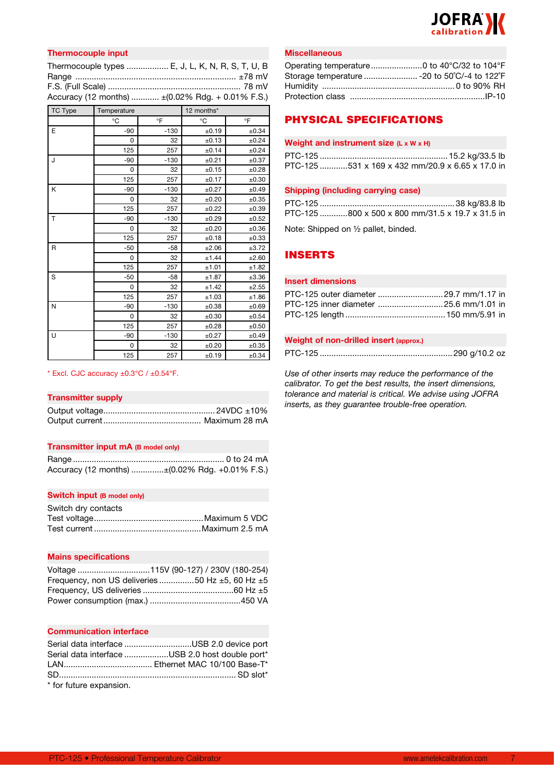

## **Thermocouple input**

| Thermocouple types  E, J, L, K, N, R, S, T, U, B  |  |
|---------------------------------------------------|--|
|                                                   |  |
|                                                   |  |
| Accuracy (12 months)  ± (0.02% Rdg. + 0.01% F.S.) |  |

| <b>TC Type</b> | Temperature |        | 12 months* |       |
|----------------|-------------|--------|------------|-------|
|                | °C          | °F     | °C         | °F    |
| E              | $-90$       | $-130$ | ±0.19      | ±0.34 |
|                | 0           | 32     | ±0.13      | ±0.24 |
|                | 125         | 257    | ±0.14      | ±0.24 |
| J              | $-90$       | $-130$ | ±0.21      | ±0.37 |
|                | 0           | 32     | ±0.15      | ±0.28 |
|                | 125         | 257    | ±0.17      | ±0.30 |
| Κ              | $-90$       | $-130$ | ±0.27      | ±0.49 |
|                | 0           | 32     | ±0.20      | ±0.35 |
|                | 125         | 257    | ±0.22      | ±0.39 |
| T              | $-90$       | $-130$ | ±0.29      | ±0.52 |
|                | 0           | 32     | ±0.20      | ±0.36 |
|                | 125         | 257    | ±0.18      | ±0.33 |
| R              | $-50$       | $-58$  | ±2.06      | ±3.72 |
|                | 0           | 32     | ±1.44      | ±2.60 |
|                | 125         | 257    | ±1.01      | ±1.82 |
| S              | $-50$       | $-58$  | ±1.87      | ±3.36 |
|                | 0           | 32     | ±1.42      | ±2.55 |
|                | 125         | 257    | ±1.03      | ±1.86 |
| N              | $-90$       | $-130$ | ±0.38      | ±0.69 |
|                | 0           | 32     | ±0.30      | ±0.54 |
|                | 125         | 257    | ±0.28      | ±0.50 |
| U              | $-90$       | $-130$ | ±0.27      | ±0.49 |
|                | 0           | 32     | ±0.20      | ±0.35 |
|                | 125         | 257    | ±0.19      | ±0.34 |

#### $*$  Excl. CJC accuracy  $\pm 0.3^{\circ}$ C /  $\pm 0.54^{\circ}$ F.

#### **Transmitter supply**

#### **Transmitter input mA (B model only)**

| Accuracy (12 months) ±(0.02% Rdg. +0.01% F.S.) |
|------------------------------------------------|

#### **Switch input (B model only)**

| Switch dry contacts |  |
|---------------------|--|
|                     |  |
|                     |  |

#### **Mains specifications**

| Frequency, non US deliveries 50 Hz $\pm$ 5, 60 Hz $\pm$ 5 |
|-----------------------------------------------------------|
|                                                           |
|                                                           |

#### **Communication interface**

|                          | Serial data interface USB 2.0 device port       |
|--------------------------|-------------------------------------------------|
|                          | Serial data interface USB 2.0 host double port* |
|                          |                                                 |
|                          |                                                 |
| $*$ for future expansion |                                                 |

for future expansion.

#### **Miscellaneous**

| Operating temperature0 to 40°C/32 to 104°F    |  |
|-----------------------------------------------|--|
| Storage temperature  - 20 to 50°C/-4 to 122°F |  |
|                                               |  |
|                                               |  |

## PHYSICAL SPECIFICATIONS

#### **Weight and instrument size (L x W x H)**

| PTC-125 531 x 169 x 432 mm/20.9 x 6.65 x 17.0 in |
|--------------------------------------------------|

#### **Shipping (including carrying case)**

| PTC-125 800 x 500 x 800 mm/31.5 x 19.7 x 31.5 in |  |  |
|--------------------------------------------------|--|--|

Note: Shipped on ½ pallet, binded.

## INSERTS

## **Insert dimensions**

| PTC-125 outer diameter 29.7 mm/1.17 in |  |
|----------------------------------------|--|
| PTC-125 inner diameter 25.6 mm/1.01 in |  |
|                                        |  |

#### **Weight of non-drilled insert (approx.)**

PTC-125 .........................................................290 g/10.2 oz

*Use of other inserts may reduce the performance of the calibrator. To get the best results, the insert dimensions, tolerance and material is critical. We advise using JOFRA inserts, as they guarantee trouble-free operation.*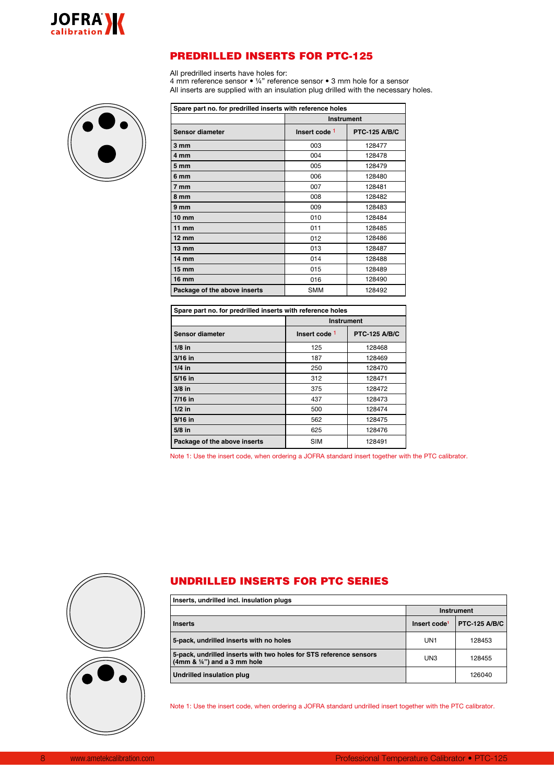

## PREDRILLED INSERTS FOR PTC-125

All predrilled inserts have holes for:

4 mm reference sensor • ¼" reference sensor • 3 mm hole for a sensor All inserts are supplied with an insulation plug drilled with the necessary holes.



| Spare part no. for predrilled inserts with reference holes |               |                      |  |  |  |  |
|------------------------------------------------------------|---------------|----------------------|--|--|--|--|
|                                                            |               | <b>Instrument</b>    |  |  |  |  |
| <b>Sensor diameter</b>                                     | Insert code 1 | <b>PTC-125 A/B/C</b> |  |  |  |  |
| 3 mm                                                       | 003           | 128477               |  |  |  |  |
| 4 mm                                                       | 004           | 128478               |  |  |  |  |
| 5 <sub>mm</sub>                                            | 005           | 128479               |  |  |  |  |
| 6 mm                                                       | 006           | 128480               |  |  |  |  |
| 7 mm                                                       | 007           | 128481               |  |  |  |  |
| 8 mm                                                       | 008           | 128482               |  |  |  |  |
| 9 mm                                                       | 009           | 128483               |  |  |  |  |
| $10 \text{ mm}$                                            | 010           | 128484               |  |  |  |  |
| $11$ mm                                                    | 011           | 128485               |  |  |  |  |
| $12 \text{ mm}$                                            | 012           | 128486               |  |  |  |  |
| $13 \, \text{mm}$                                          | 013           | 128487               |  |  |  |  |
| $14 \text{ mm}$                                            | 014           | 128488               |  |  |  |  |
| $15 \, \mathrm{mm}$                                        | 015           | 128489               |  |  |  |  |
| 16 mm                                                      | 016           | 128490               |  |  |  |  |
| Package of the above inserts                               | <b>SMM</b>    | 128492               |  |  |  |  |

| Spare part no. for predrilled inserts with reference holes |                          |                      |  |  |  |
|------------------------------------------------------------|--------------------------|----------------------|--|--|--|
|                                                            | <b>Instrument</b>        |                      |  |  |  |
| Sensor diameter                                            | Insert code <sup>1</sup> | <b>PTC-125 A/B/C</b> |  |  |  |
| $1/8$ in                                                   | 125                      | 128468               |  |  |  |
| $3/16$ in                                                  | 187                      | 128469               |  |  |  |
| $1/4$ in                                                   | 250                      | 128470               |  |  |  |
| $5/16$ in                                                  | 312                      | 128471               |  |  |  |
| $3/8$ in                                                   | 375                      | 128472               |  |  |  |
| $7/16$ in                                                  | 437                      | 128473               |  |  |  |
| $1/2$ in                                                   | 500                      | 128474               |  |  |  |
| $9/16$ in                                                  | 562                      | 128475               |  |  |  |
| $5/8$ in                                                   | 625                      | 128476               |  |  |  |
| Package of the above inserts                               | <b>SIM</b>               | 128491               |  |  |  |

Note 1: Use the insert code, when ordering a JOFRA standard insert together with the PTC calibrator.



## UNDRILLED INSERTS FOR PTC SERIES

| Inserts, undrilled incl. insulation plugs                                                                   |                          |                      |  |
|-------------------------------------------------------------------------------------------------------------|--------------------------|----------------------|--|
|                                                                                                             | Instrument               |                      |  |
| <b>Inserts</b>                                                                                              | Insert code <sup>1</sup> | <b>PTC-125 A/B/C</b> |  |
| 5-pack, undrilled inserts with no holes                                                                     | UN <sub>1</sub>          | 128453               |  |
| 5-pack, undrilled inserts with two holes for STS reference sensors<br>$(4mm & \frac{1}{4}) and a 3 mm hole$ | UN3                      | 128455               |  |
| Undrilled insulation plug                                                                                   |                          | 126040               |  |

Note 1: Use the insert code, when ordering a JOFRA standard undrilled insert together with the PTC calibrator.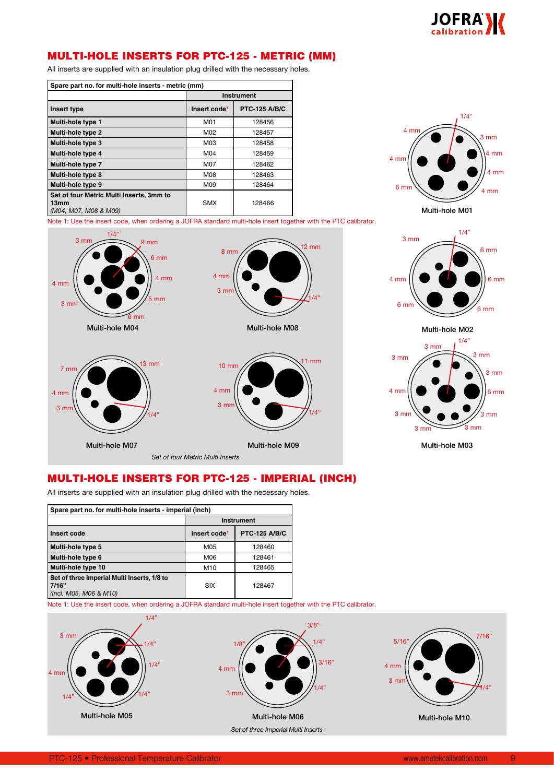

## MULTI-HOLE INSERTS FOR PTC-125 - METRIC (MM)

All inserts are supplied with an insulation plug drilled with the necessary holes.

| Spare part no. for multi-hole inserts - metric (mm)                       |                          |                      |  |  |  |
|---------------------------------------------------------------------------|--------------------------|----------------------|--|--|--|
|                                                                           | <b>Instrument</b>        |                      |  |  |  |
| Insert type                                                               | Insert code <sup>1</sup> | <b>PTC-125 A/B/C</b> |  |  |  |
| Multi-hole type 1                                                         | M01                      | 128456               |  |  |  |
| Multi-hole type 2                                                         | M02                      | 128457               |  |  |  |
| Multi-hole type 3                                                         | M03                      | 128458               |  |  |  |
| Multi-hole type 4                                                         | M04                      | 128459               |  |  |  |
| Multi-hole type 7                                                         | M07                      | 128462               |  |  |  |
| Multi-hole type 8                                                         | M08                      | 128463               |  |  |  |
| Multi-hole type 9                                                         | M09                      | 128464               |  |  |  |
| Set of four Metric Multi Inserts, 3mm to<br>13mm<br>(M04, M07, M08 & M09) | <b>SMX</b>               | 128466               |  |  |  |



Note 1: Use the insert code, when ordering a JOFRA standard multi-hole insert together with the PTC calibrator.







Multi-hole M03

## MULTI-HOLE INSERTS FOR PTC-125 - IMPERIAL (INCH)

All inserts are supplied with an insulation plug drilled with the necessary holes.

| Spare part no. for multi-hole inserts - imperial (inch)                        |                          |                      |  |  |  |  |
|--------------------------------------------------------------------------------|--------------------------|----------------------|--|--|--|--|
|                                                                                | <b>Instrument</b>        |                      |  |  |  |  |
| Insert code                                                                    | Insert code <sup>1</sup> | <b>PTC-125 A/B/C</b> |  |  |  |  |
| Multi-hole type 5                                                              | M05                      | 128460               |  |  |  |  |
| Multi-hole type 6                                                              | M06                      | 128461               |  |  |  |  |
| Multi-hole type 10                                                             | M <sub>10</sub>          | 128465               |  |  |  |  |
| Set of three Imperial Multi Inserts, 1/8 to<br>7/16"<br>(Incl. M05, M06 & M10) | SIX                      | 128467               |  |  |  |  |

Note 1: Use the insert code, when ordering a JOFRA standard multi-hole insert together with the PTC calibrator.

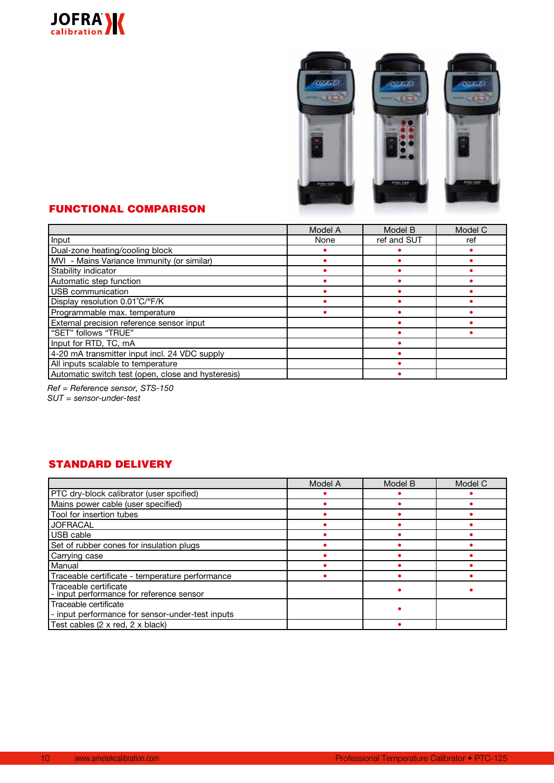



## FUNCTIONAL COMPARISON

|                                                    | Model A | Model B     | Model C |
|----------------------------------------------------|---------|-------------|---------|
| Input                                              | None    | ref and SUT | ref     |
| Dual-zone heating/cooling block                    |         |             |         |
| MVI - Mains Variance Immunity (or similar)         |         |             |         |
| Stability indicator                                |         |             |         |
| Automatic step function                            |         |             |         |
| USB communication                                  |         |             |         |
| Display resolution 0.01°C/°F/K                     |         |             |         |
| Programmable max. temperature                      |         |             |         |
| External precision reference sensor input          |         |             |         |
| "SET" follows "TRUE"                               |         |             |         |
| Input for RTD, TC, mA                              |         |             |         |
| 4-20 mA transmitter input incl. 24 VDC supply      |         |             |         |
| All inputs scalable to temperature                 |         |             |         |
| Automatic switch test (open, close and hysteresis) |         |             |         |

*Ref = Reference sensor, STS-150*

*SUT = sensor-under-test*

## STANDARD DELIVERY

|                                                                           | Model A | Model B | Model C |
|---------------------------------------------------------------------------|---------|---------|---------|
| PTC dry-block calibrator (user spcified)                                  |         |         |         |
| Mains power cable (user specified)                                        |         |         |         |
| Tool for insertion tubes                                                  |         |         |         |
| <b>JOFRACAL</b>                                                           |         |         |         |
| USB cable                                                                 |         |         |         |
| Set of rubber cones for insulation plugs                                  |         |         |         |
| Carrying case                                                             |         |         |         |
| Manual                                                                    |         |         |         |
| Traceable certificate - temperature performance                           |         |         |         |
| Traceable certificate<br>- input performance for reference sensor         |         |         |         |
| Traceable certificate<br>- input performance for sensor-under-test inputs |         |         |         |
| Test cables (2 x red, 2 x black)                                          |         |         |         |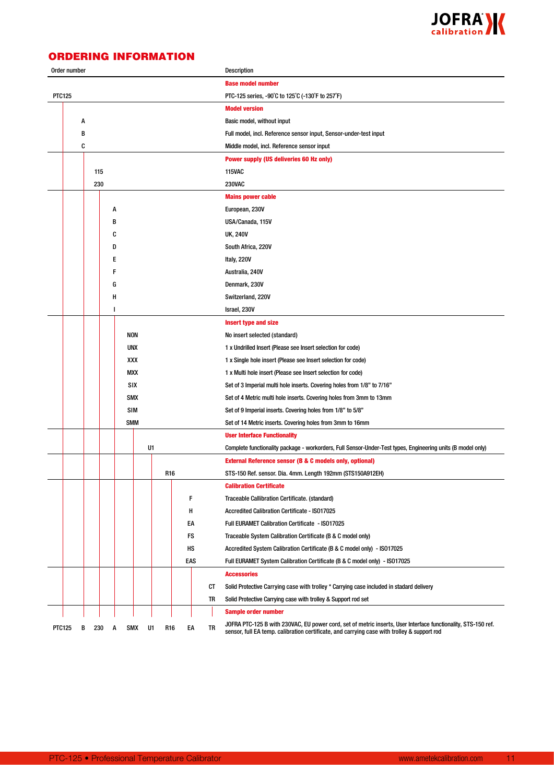

## ORDERING INFORMATION

| Order number  |   |     |   |            |    |     |     |    | Description                                                                                                                                                                                                  |
|---------------|---|-----|---|------------|----|-----|-----|----|--------------------------------------------------------------------------------------------------------------------------------------------------------------------------------------------------------------|
|               |   |     |   |            |    |     |     |    | <b>Base model number</b>                                                                                                                                                                                     |
| <b>PTC125</b> |   |     |   |            |    |     |     |    | PTC-125 series, -90°C to 125°C (-130°F to 257°F)                                                                                                                                                             |
|               |   |     |   |            |    |     |     |    | <b>Model version</b>                                                                                                                                                                                         |
|               | A |     |   |            |    |     |     |    | Basic model, without input                                                                                                                                                                                   |
|               | В |     |   |            |    |     |     |    | Full model, incl. Reference sensor input, Sensor-under-test input                                                                                                                                            |
|               | C |     |   |            |    |     |     |    | Middle model, incl. Reference sensor input                                                                                                                                                                   |
|               |   |     |   |            |    |     |     |    | <b>Power supply (US deliveries 60 Hz only)</b>                                                                                                                                                               |
|               |   | 115 |   |            |    |     |     |    | <b>115VAC</b>                                                                                                                                                                                                |
|               |   | 230 |   |            |    |     |     |    | <b>230VAC</b>                                                                                                                                                                                                |
|               |   |     |   |            |    |     |     |    | <b>Mains power cable</b>                                                                                                                                                                                     |
|               |   |     | А |            |    |     |     |    | European, 230V                                                                                                                                                                                               |
|               |   |     | в |            |    |     |     |    | USA/Canada, 115V                                                                                                                                                                                             |
|               |   |     | C |            |    |     |     |    | <b>UK, 240V</b>                                                                                                                                                                                              |
|               |   |     | D |            |    |     |     |    | South Africa, 220V                                                                                                                                                                                           |
|               |   |     | Е |            |    |     |     |    | Italy, 220V                                                                                                                                                                                                  |
|               |   |     | F |            |    |     |     |    | Australia, 240V                                                                                                                                                                                              |
|               |   |     | G |            |    |     |     |    | Denmark, 230V                                                                                                                                                                                                |
|               |   |     | н |            |    |     |     |    | Switzerland, 220V                                                                                                                                                                                            |
|               |   |     | ı |            |    |     |     |    | Israel, 230V                                                                                                                                                                                                 |
|               |   |     |   |            |    |     |     |    | <b>Insert type and size</b>                                                                                                                                                                                  |
|               |   |     |   | <b>NON</b> |    |     |     |    | No insert selected (standard)                                                                                                                                                                                |
|               |   |     |   | <b>UNX</b> |    |     |     |    | 1 x Undrilled Insert (Please see Insert selection for code)                                                                                                                                                  |
|               |   |     |   | XXX        |    |     |     |    | 1 x Single hole insert (Please see Insert selection for code)                                                                                                                                                |
|               |   |     |   | <b>MXX</b> |    |     |     |    | 1 x Multi hole insert (Please see Insert selection for code)                                                                                                                                                 |
|               |   |     |   | SIX        |    |     |     |    | Set of 3 Imperial multi hole inserts. Covering holes from 1/8" to 7/16"                                                                                                                                      |
|               |   |     |   | <b>SMX</b> |    |     |     |    | Set of 4 Metric multi hole inserts. Covering holes from 3mm to 13mm                                                                                                                                          |
|               |   |     |   | SIM        |    |     |     |    | Set of 9 Imperial inserts. Covering holes from 1/8" to 5/8"                                                                                                                                                  |
|               |   |     |   | <b>SMM</b> |    |     |     |    | Set of 14 Metric inserts. Covering holes from 3mm to 16mm                                                                                                                                                    |
|               |   |     |   |            |    |     |     |    | <b>User Interface Functionality</b>                                                                                                                                                                          |
|               |   |     |   |            | U1 |     |     |    | Complete functionality package - workorders, Full Sensor-Under-Test types, Engineering units (B model only)                                                                                                  |
|               |   |     |   |            |    |     |     |    | <b>External Reference sensor (B &amp; C models only, optional)</b>                                                                                                                                           |
|               |   |     |   |            |    | R16 |     |    | STS-150 Ref. sensor. Dia. 4mm. Length 192mm (STS150A912EH)                                                                                                                                                   |
|               |   |     |   |            |    |     |     |    | <b>Calibration Certificate</b>                                                                                                                                                                               |
|               |   |     |   |            |    |     | F   |    | Traceable Callibration Certificate. (standard)                                                                                                                                                               |
|               |   |     |   |            |    |     | н   |    | Accredited Calibration Certificate - ISO17025                                                                                                                                                                |
|               |   |     |   |            |    |     | EA  |    | Full EURAMET Calibration Certificate - ISO17025                                                                                                                                                              |
|               |   |     |   |            |    |     | FS  |    | Traceable System Calibration Certificate (B & C model only)                                                                                                                                                  |
|               |   |     |   |            |    |     | нs  |    | Accredited System Calibration Certificate (B & C model only) - ISO17025                                                                                                                                      |
|               |   |     |   |            |    |     | EAS |    | Full EURAMET System Calibration Certificate (B & C model only) - ISO17025                                                                                                                                    |
|               |   |     |   |            |    |     |     |    | <b>Accessories</b>                                                                                                                                                                                           |
|               |   |     |   |            |    |     |     | СT | Solid Protective Carrying case with trolley * Carrying case included in stadard delivery                                                                                                                     |
|               |   |     |   |            |    |     |     | TR | Solid Protective Carrying case with trolley & Support rod set                                                                                                                                                |
|               |   |     |   |            |    |     |     |    | <b>Sample order number</b>                                                                                                                                                                                   |
| <b>PTC125</b> | в | 230 | A | <b>SMX</b> | U1 | R16 | EA  | TR | JOFRA PTC-125 B with 230VAC, EU power cord, set of metric inserts, User Interface functionality, STS-150 ref.<br>sensor, full EA temp. calibration certificate, and carrying case with trolley & support rod |